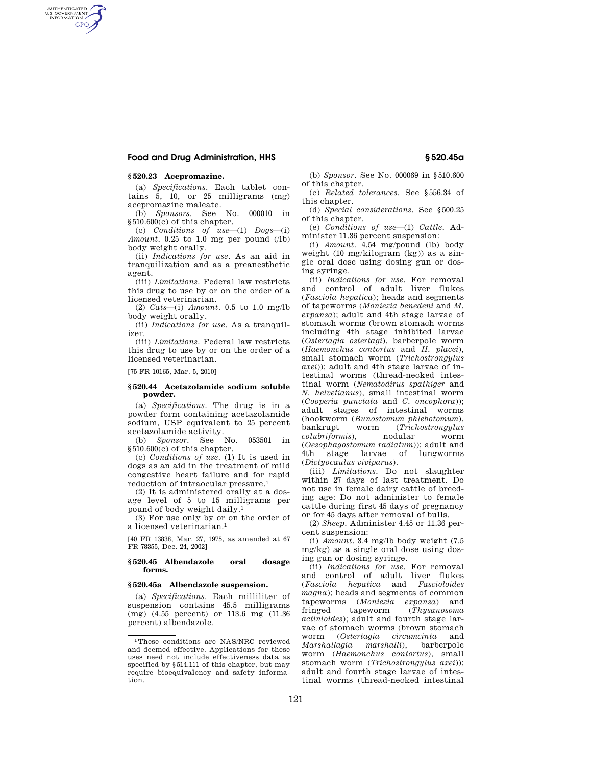# **Food and Drug Administration, HHS § 520.45a**

## **§ 520.23 Acepromazine.**

AUTHENTICATED<br>U.S. GOVERNMENT<br>INFORMATION **GPO** 

> (a) *Specifications*. Each tablet contains 5, 10, or 25 milligrams (mg) acepromazine maleate.

(b) *Sponsors*. See No. 000010 in §510.600(c) of this chapter.

(c) *Conditions of use*—(1) *Dogs*—(i) *Amount*. 0.25 to 1.0 mg per pound (/lb) body weight orally.

(ii) *Indications for use*. As an aid in tranquilization and as a preanesthetic agent.

(iii) *Limitations*. Federal law restricts this drug to use by or on the order of a licensed veterinarian.

(2) *Cats*—(i) *Amount*. 0.5 to 1.0 mg/lb body weight orally.

(ii) *Indications for use*. As a tranquilizer.

(iii) *Limitations*. Federal law restricts this drug to use by or on the order of a licensed veterinarian.

[75 FR 10165, Mar. 5, 2010]

### **§ 520.44 Acetazolamide sodium soluble powder.**

(a) *Specifications.* The drug is in a powder form containing acetazolamide sodium, USP equivalent to 25 percent acetazolamide activity.

(b) *Sponsor.* See No. 053501 in §510.600(c) of this chapter.

(c) *Conditions of use.* (1) It is used in dogs as an aid in the treatment of mild congestive heart failure and for rapid reduction of intraocular pressure.1

(2) It is administered orally at a dosage level of 5 to 15 milligrams per pound of body weight daily.1

(3) For use only by or on the order of a licensed veterinarian.1

[40 FR 13838, Mar. 27, 1975, as amended at 67 FR 78355, Dec. 24, 2002]

### **§ 520.45 Albendazole oral dosage forms.**

## **§ 520.45a Albendazole suspension.**

(a) *Specifications*. Each milliliter of suspension contains 45.5 milligrams (mg) (4.55 percent) or 113.6 mg (11.36 percent) albendazole.

(b) *Sponsor*. See No. 000069 in §510.600 of this chapter.

(c) *Related tolerances*. See §556.34 of this chapter.

(d) *Special considerations*. See §500.25 of this chapter.

(e) *Conditions of use*—(1) *Cattle*. Administer 11.36 percent suspension:

(i) *Amount*. 4.54 mg/pound (lb) body weight (10 mg/kilogram (kg)) as a single oral dose using dosing gun or dosing syringe.

(ii) *Indications for use*. For removal and control of adult liver flukes (*Fasciola hepatica*); heads and segments of tapeworms (*Moniezia benedeni* and *M. expansa*); adult and 4th stage larvae of stomach worms (brown stomach worms including 4th stage inhibited larvae (*Ostertagia ostertagi*), barberpole worm (*Haemonchus contortus* and *H. placei*), small stomach worm (*Trichostrongylus axei*)); adult and 4th stage larvae of intestinal worms (thread-necked intestinal worm (*Nematodirus spathiger* and *N. helvetianus*), small intestinal worm (*Cooperia punctata* and *C. oncophora*)); adult stages of intestinal worms (hookworm (*Bunostomum phlebotomum*), bankrupt worm (*Trichostrongylus colubriformis*), nodular worm (*Oesophagostomum radiatum*)); adult and 4th stage larvae of lungworms (*Dictyocaulus viviparus*).

(iii) *Limitations*. Do not slaughter within 27 days of last treatment. Do not use in female dairy cattle of breeding age: Do not administer to female cattle during first 45 days of pregnancy or for 45 days after removal of bulls.

(2) *Sheep*. Administer 4.45 or 11.36 percent suspension:

(i) *Amount*. 3.4 mg/lb body weight (7.5 mg/kg) as a single oral dose using dosing gun or dosing syringe.

(ii) *Indications for use*. For removal and control of adult liver flukes (*Fasciola hepatica* and *Fascioloides magna*); heads and segments of common tapeworms (*Moniezia expansa*) and fringed tapeworm (*Thysanosoma actinioides*); adult and fourth stage larvae of stomach worms (brown stomach<br>worm (Ostertagia circumcinta and worm (*Ostertagia circumcinta* and *Marshallagia marshalli*), barberpole worm (*Haemonchus contortus*), small stomach worm (*Trichostrongylus axei*)); adult and fourth stage larvae of intestinal worms (thread-necked intestinal

<sup>1</sup>These conditions are NAS/NRC reviewed and deemed effective. Applications for these uses need not include effectiveness data as specified by §514.111 of this chapter, but may require bioequivalency and safety information.